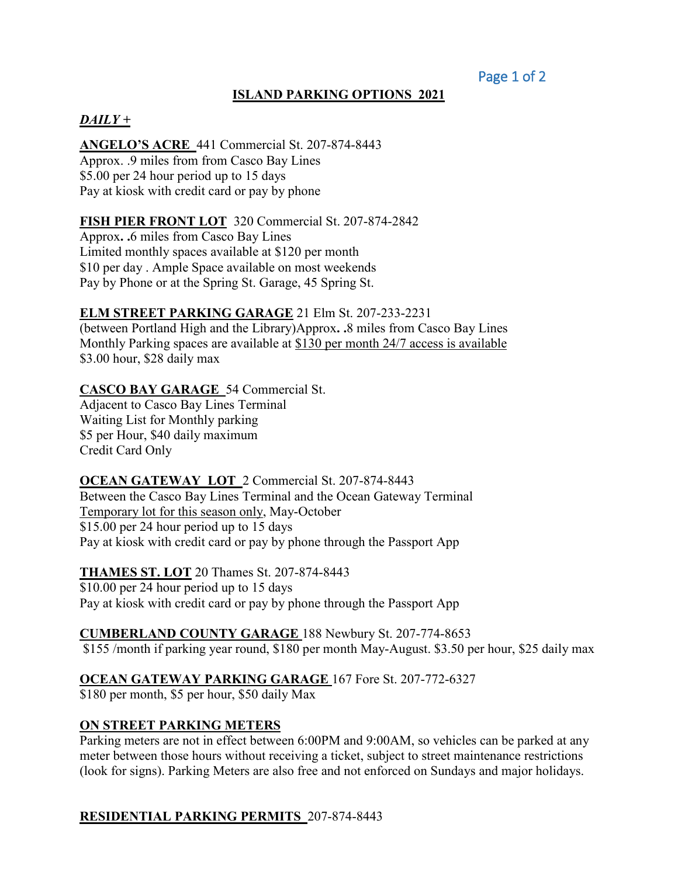### **ISLAND PARKING OPTIONS 2021**

#### *DAILY +*

**ANGELO'S ACRE** 441 Commercial St. 207-874-8443 Approx. .9 miles from from Casco Bay Lines \$5.00 per 24 hour period up to 15 days Pay at kiosk with credit card or pay by phone

#### **FISH PIER FRONT LOT** 320 Commercial St. 207-874-2842

Approx**. .**6 miles from Casco Bay Lines Limited monthly spaces available at \$120 per month \$10 per day . Ample Space available on most weekends Pay by Phone or at the Spring St. Garage, 45 Spring St.

#### **ELM STREET PARKING GARAGE** 21 Elm St. 207-233-2231

(between Portland High and the Library)Approx**. .**8 miles from Casco Bay Lines Monthly Parking spaces are available at \$130 per month 24/7 access is available \$3.00 hour, \$28 daily max

#### **CASCO BAY GARAGE** 54 Commercial St.

Adjacent to Casco Bay Lines Terminal Waiting List for Monthly parking \$5 per Hour, \$40 daily maximum Credit Card Only

#### **OCEAN GATEWAY LOT** 2 Commercial St. 207-874-8443

Between the Casco Bay Lines Terminal and the Ocean Gateway Terminal Temporary lot for this season only, May-October \$15.00 per 24 hour period up to 15 days Pay at kiosk with credit card or pay by phone through the Passport App

**THAMES ST. LOT** 20 Thames St. 207-874-8443 \$10.00 per 24 hour period up to 15 days Pay at kiosk with credit card or pay by phone through the Passport App

**CUMBERLAND COUNTY GARAGE** 188 Newbury St. 207-774-8653 \$155 /month if parking year round, \$180 per month May-August. \$3.50 per hour, \$25 daily max

#### **OCEAN GATEWAY PARKING GARAGE** 167 Fore St. 207-772-6327

\$180 per month, \$5 per hour, \$50 daily Max

#### **ON STREET PARKING METERS**

Parking meters are not in effect between 6:00PM and 9:00AM, so vehicles can be parked at any meter between those hours without receiving a ticket, subject to street maintenance restrictions (look for signs). Parking Meters are also free and not enforced on Sundays and major holidays.

#### **RESIDENTIAL PARKING PERMITS** 207-874-8443